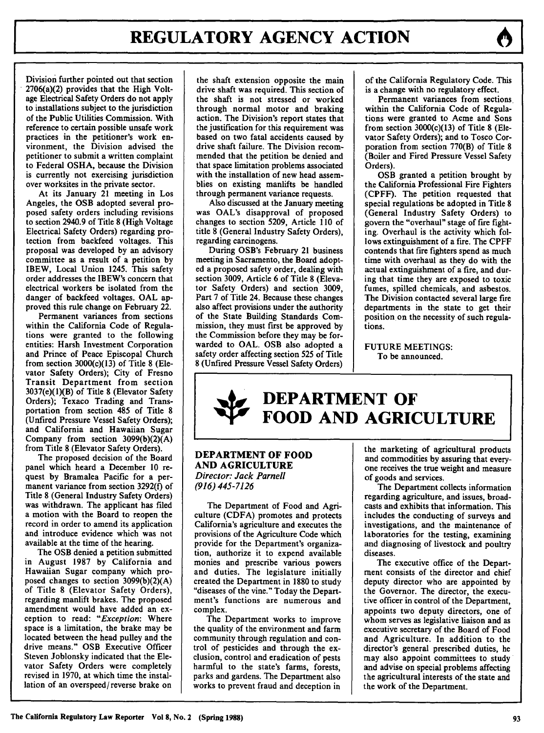Division further pointed out that section 2706(a)(2) provides that the High Voltage Electrical Safety Orders do not apply to installations subject to the jurisdiction of the Public Utilities Commission. With reference to certain possible unsafe work practices in the petitioner's work environment, the Division advised the petitioner to submit a written complaint to Federal **OSHA,** because the Division is currently not exercising jurisdiction over worksites in the private sector.

At its January 21 meeting in Los Angeles, the OSB adopted several proposed safety orders including revisions to section 2940.9 of Title **8** (High Voltage Electrical Safety Orders) regarding protection from backfeed voltages. This proposal was developed **by** an advisory committee as a result of a petition **by** IBEW, Local Union 1245. This safety order addresses the IBEW's concern that electrical workers be isolated from the danger of backfeed voltages. **OAL** approved this rule change on February 22.

Permanent variances from sections within the California Code of Regulations were granted to the following entities: Harsh Investment Corporation and Prince of Peace Episcopal Church from section 3000(c)(13) of Title **8** (Elevator Safety Orders); City of Fresno Transit Department from section 3037(e)(l)(B) of Title **8** (Elevator Safety Orders); Texaco Trading and Transportation from section 485 of Title **8** (Unfired Pressure Vessel Safety Orders); and California and Hawaiian Sugar Company from section **3099(b)(2)(A)** from Title **8** (Elevator Safety Orders).

The proposed decision of the Board panel which heard a December **10** request **by** Bramalea Pacific for a permanent variance from section **3292(f)** of Title **8** (General Industry Safety Orders) was withdrawn. The applicant has filed a motion with the Board to reopen the record in order to amend its application and introduce evidence which was not available at the time of the hearing.

The OSB denied a petition submitted in August **1987 by** California and Hawaiian Sugar company which proposed changes to section **3099(b)(2)(A)** of Title 8 (Elevator Safety Orders), regarding manlift brakes. The proposed amendment would have added an exception to read: *"Exception:* Where space is a limitation, the brake may be located between the head pulley and the drive means." OSB Executive Officer Steven Joblonsky indicated that the Elevator Safety Orders were completely revised in **1970,** at which time the installation of an overspeed/ reverse brake on the shaft extension opposite the main drive shaft was required. This section of the shaft is not stressed or worked through normal motor and braking action. The Division's report states that the justification for this requirement was based on two fatal accidents caused **by** drive shaft failure. The Division recommended that the petition be denied and that space limitation problems associated with the installation of new head assemblies on existing manlifts be handled through permanent variance requests.

Also discussed at the January meeting was OAL's disapproval of proposed changes to section **5209,** Article **110** of title 8 (General Industry Safety Orders), regarding carcinogens.

During OSB's February 21 business meeting in Sacramento, the Board adopted a proposed safety order, dealing with section **3009,** Article **6** of Title 8 (Elevator Safety Orders) and section **3009,** Part **7** of Title 24. Because these changes also affect provisions under the authority of the State Building Standards Commission, they must first be approved **by** the Commission before they may be forwarded to **OAL.** OSB also adopted a safety order affecting section **525** of Title **8** (Unfired Pressure Vessel Safety Orders) of the California Regulatory Code. This is a change with no regulatory effect.

Permanent variances from sections. within the California Code of Regulations were granted to Acme and Sons from section 3000(c)(13) of Title **8** (Elevator Safety Orders); and to Tosco Corporation from section **770(B)** of Title **8** (Boiler and Fired Pressure Vessel Safety Orders).

OSB granted a petition brought **by** the California Professional Fire Fighters (CPFF). The petition requested that special regulations be adopted in Title **8** (General Industry Safety Orders) to govern the "overhaul" stage of fire fighting. Overhaul is the activity which follows extinguishment of a fire. The CPFF contends that fire fighters spend as much time with overhaul as they do with the actual extinguishment of a fire, and during that time they are exposed to toxic fumes, spilled chemicals, and asbestos. The Division contacted several large fire departments in the state to get their position on the necessity of such regulations.

**FUTURE** MEETINGS: To be announced.

# **DEPARTMENT OF FOOD AND AGRICULTURE**

#### **DEPARTMENT OF FOOD AND AGRICULTURE** *Director: Jack Parnell (916) 445-7126*

The Department of Food and Agriculture **(CDFA)** promotes and protects California's agriculture and executes the provisions of the Agriculture Code which provide for the Department's organization, authorize it to expend available monies and prescribe various powers and duties. The legislature initially created the Department in **1880** to study "diseases of the vine." Today the Department's functions are numerous and complex.

The Department works to improve the quality of the environment and farm community through regulation and control of pesticides and through the exclusion, control and eradication of pests harmful to the state's farms, forests, parks and gardens. The Department also works to prevent fraud and deception in

the marketing of agricultural products and commodities **by** assuring that everyone receives the true weight and measure of goods and services.

The Department collects information regarding agriculture, and issues, broadcasts and exhibits that information. This includes the conducting of surveys and investigations, and the maintenance of laboratories for the testing, examining and diagnosing of livestock and poultry diseases.

The executive office of the Department consists of the director and chief deputy director who are appointed **by** the Governor. The director, the executive officer in control of the Department, appoints two deputy directors, one of whom serves as legislative liaison and as executive secretary of the Board of Food and Agriculture. In addition to the director's general prescribed duties, he may also appoint committees to study and advise on special problems affecting the agricultural interests of the state and the work of the Department.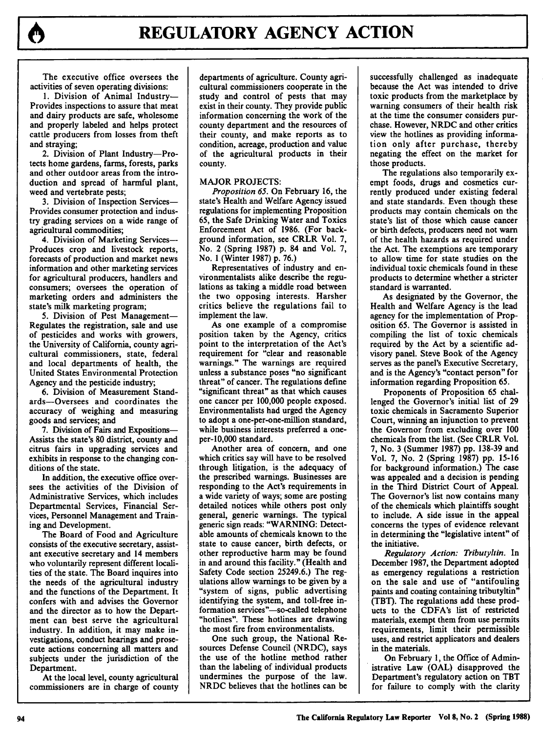The executive office oversees the activities of seven operating divisions:

**1.** Division of Animal Industry-Provides inspections to assure that meat and dairy products are safe, wholesome and properly labeled and helps protect cattle producers from losses from theft and straying;

2. Division of Plant Industry-Protects home gardens, farms, forests, parks and other outdoor areas from the introduction and spread of harmful plant, weed and vertebrate pests;

**3.** Division of Inspection Services-Provides consumer protection and industry grading services on a wide range of agricultural commodities;

4. Division of Marketing Services-Produces crop and livestock reports, forecasts of production and market news information and other marketing services for agricultural producers, handlers and consumers; oversees the operation of marketing orders and administers the state's milk marketing program;

**5.** Division of Pest Management-Regulates the registration, sale and use of pesticides and works with growers, the University of California, county agricultural commissioners, state, federal and local departments of health, the United States Environmental Protection Agency and the pesticide industry;

**6.** Division of Measurement Standards-Oversees and coordinates the accuracy of weighing and measuring goods and services; and

**7.** Division of Fairs and Expositions-Assists the state's **80** district, county and citrus fairs in upgrading services and exhibits in response to the changing conditions of the state.

In addition, the executive office oversees the activities of the Division of Administrative Services, which includes Departmental Services, Financial Services, Personnel Management and Training and Development.

The Board of Food and Agriculture consists of the executive secretary, assistant executive secretary and 14 members who voluntarily represent different localities of the state. The Board inquires into the needs of the agricultural industry and the functions of the Department. It confers with and advises the Governor and the director as to how the Department can best serve the agricultural industry. In addition, it may make investigations, conduct hearings and prosecute actions concerning all matters and subjects under the jurisdiction of the Department.

At the local level, county agricultural commissioners are in charge of county departments of agriculture. County agricultural commissioners cooperate in the study and control of pests that may exist in their county. They provide public information concerning the work of the county department and the resources of their county, and make reports as to condition, acreage, production and value of the agricultural products in their county.

#### MAJOR **PROJECTS:**

*Proposition 65.* On February **16,** the state's Health and Welfare Agency issued regulations for implementing Proposition **65,** the Safe Drinking Water and Toxics Enforcement Act of **1986.** (For background information, see CRLR Vol. **7,** No. 2 (Spring **1987) p.** 84 and Vol. **7,** No. **1** (Winter **1987) p. 76.)**

Representatives of industry and environmentalists alike describe the regulations as taking a middle road between the two opposing interests. Harsher critics believe the regulations fail to implement the law.

As one example of a compromise position taken **by** the Agency, critics point to the interpretation of the Act's requirement for "clear and reasonable warnings." The warnings are required unless a substance poses "no significant threat" of cancer. The regulations define "significant threat" as that which causes one cancer per **100,000** people exposed. Environmentalists had urged the Agency to adopt a one-per-one-million standard, while business interests preferred a oneper-10,000 standard.

Another area of concern, and one which critics say will have to be resolved through litigation, is the adequacy of the prescribed warnings. Businesses are responding to the Act's requirements in a wide variety of ways; some are posting detailed notices while others post only general, generic warnings. The typical generic sign reads: "WARNING: Detectable amounts of chemicals known to the state to cause cancer, birth defects, or other reproductive harm may be found in and around this facility." (Health and Safety Code section 25249.6.) The regulations allow warnings to be given **by** a "system of signs, public advertising identifying the system, and toll-free information services"-so-called telephone "hotlines". These hotlines are drawing the most fire from environmentalists.

One such group, the National Resources Defense Council (NRDC), says the use of the hotline method rather than the labeling of individual products undermines the purpose of the law. NRDC believes that the hotlines can be successfully challenged as inadequate because the Act was intended to drive toxic products from the marketplace **by** warning consumers of their health risk at the time the consumer considers purchase. However, NRDC and other critics view the hotlines as providing information only after purchase, thereby negating the effect on the market for those products.

The regulations also temporarily exempt foods, drugs and cosmetics currently produced under existing federal and state standards. Even though these products may contain chemicals on the state's list of those which cause cancer or birth defects, producers need not warn of the health hazards as required under the Act. The exemptions are temporary to allow time for state studies on the individual toxic chemicals found in these products to determine whether a stricter standard is warranted.

As designated **by** the Governor, the Health and Welfare Agency is the lead agency for the implementation of Proposition **65.** The Governor is assisted in compiling the list of toxic chemicals required **by** the Act **by** a scientific advisory panel. Steve Book of the Agency serves as the panel's Executive Secretary, and is the Agency's "contact person" for information regarding Proposition **65.**

Proponents of Proposition **65** challenged the Governor's initial list of **29** toxic chemicals in Sacramento Superior Court, winning an injunction to prevent the Governor from excluding over **100** chemicals from the fist. (See CRLR Vol. **7,** No. **3** (Summer **1987) pp. 138-39** and Vol. **7,** No. 2 (Spring **1987) pp. 15-16** for background information.) The case was appealed and a decision is pending in the Third District Court of Appeal. The Governor's list now contains many of the chemicals which plaintiffs sought to include. **A** side issue in the appeal concerns the types of evidence relevant in determining the "legislative intent" of the initiative.

*Regulatory Action: Tributyltin.* In December **1987,** the Department adopted as emergency regulations a restriction on the sale and use of "antifouling paints and coating containing tributyltin" (TBT). The regulations add these products to the CDFA's list of restricted materials, exempt them from use permits requirements, limit their permissible uses, and restrict applicators and dealers in the materials.

On February **1,** the Office of Administrative Law **(OAL)** disapproved the Department's regulatory action on TBT for failure to comply with the clarity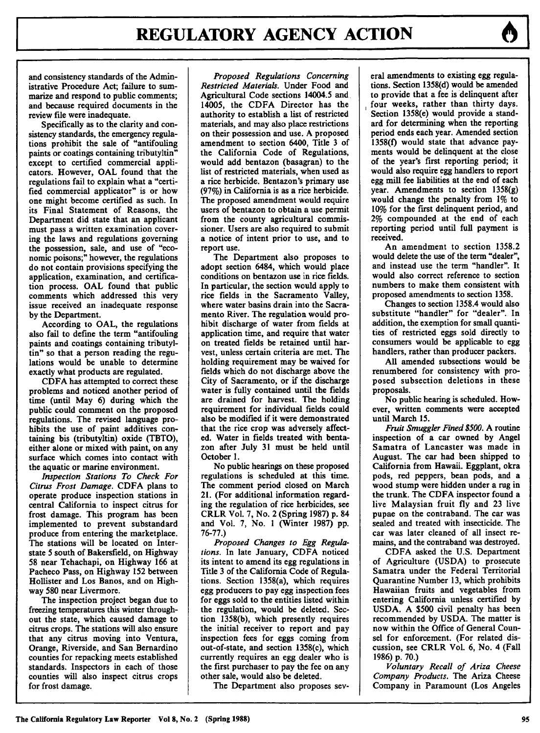and consistency standards of the Administrative Procedure Act; failure to summarize and respond to public comments; and because required documents in the review file were inadequate.

Specifically as to the clarity and consistency standards, the emergency regulations prohibit the sale of "antifouling paints or coatings containing tributyltin" except to certified commercial applicators. However, **OAL** found that the regulations fail to explain what a "certified commercial applicator" is or how one might become certified as such. In its Final Statement of Reasons, the Department did state that an applicant must pass a written examination covering the laws and regulations governing the possession, sale, and use of "economic poisons;" however, the regulations do not contain provisions specifying the application, examination, and certification process. **OAL** found that public comments which addressed this very issue received an inadequate response **by** the Department.

According to **OAL,** the regulations also fail to define the term "antifouling paints and coatings containing tributyltin" so that a person reading the regulations would be unable to determine exactly what products are regulated.

**CDFA** has attempted to correct these problems and noticed another period of time (until May **6)** during which the public could comment on the proposed regulations. The revised language prohibits the use of paint additives containing **his** (tributyltin) oxide (TBTO), either alone or mixed with paint, on any surface which comes into contact with the aquatic or marine environment.

*Inspection Stations To Check For Citrus Frost Damage.* **CDFA** plans to operate produce inspection stations in central California to inspect citrus for frost damage. This program has been implemented to prevent substandard produce from entering the marketplace. The stations will be located on Interstate **5** south of Bakersfield, on Highway **58** near Tehachapi, on Highway **166** at Pacheco Pass, on Highway **152** between Hollister and Los Banos, and on Highway **580** near Livermore.

The inspection project began due to freezing temperatures this winter throughout the state, which caused damage to citrus crops. The stations will also ensure that any citrus moving into Ventura, Orange, Riverside, and San Bernardino counties for repacking meets established standards. Inspectors in each of those counties will also inspect citrus crops for frost damage.

*Proposed Regulations Concerning Restricted Materials.* Under Food and Agricultural Code sections 14004.5 and 14005, the **CDFA** Director has the authority to establish a list of restricted materials, and may also place restrictions on their possession and use. **A** proposed amendment to section 6400, Title **3** of the California Code of Regulations, would add bentazon (basagran) to the list of restricted materials, when used as a rice herbicide. Bentazon's primary use (97%) in California is as a rice herbicide. The proposed amendment would require users of bentazon to obtain a use permit from the county agricultural commissioner. Users are also required to submit a notice of intent prior to use, and to report use.

The Department also proposes to adopt section 6484, which would place conditions on bentazon use in rice fields. In particular, the section would apply to rice fields in the Sacramento Valley, where water basins drain into the Sacramento River. The regulation would prohibit discharge of water from fields at application time, and require that water on treated fields be retained until harvest, unless certain criteria are met. The holding requirement may be waived for fields which do not discharge above the City of Sacramento, or if the discharge water is fully contained until the fields are drained for harvest. The holding requirement for individual fields could also be modified if it were demonstrated that the rice crop was adversely affected. Water in fields treated with bentazon after July **31** must be held until October **1.**

No public hearings on these proposed regulations is scheduled at this time. The comment period closed on March 21. (For additional information regarding the regulation of rice herbicides, see CRLR Vol. **7,** No. 2 (Spring **1987) p.** 84 and Vol. 7, No. **1** (Winter **1987) pp. 76-77.)**

*Proposed Changes to Egg Regulations.* In late January, **CDFA** noticed its intent to amend its egg regulations in Title **3** of the California Code of Regulations. Section 1358(a), which requires egg producers to pay egg inspection fees for eggs sold to the entities listed within the regulation, would be deleted. Section **1358(b),** which presently requires the initial receiver to report and pay inspection fees for eggs coming from out-of-state, and section 1358(c), which currently requires an egg dealer who is the first purchaser to pay the fee on any other sale, would also be deleted.

The Department also proposes sev-

eral amendments to existing egg regulations. Section **1358(d)** would be amended to provide that a fee is delinquent after four weeks, rather than thirty days. Section 1358(e) would provide a standard for determining when the reporting period ends each year. Amended section 1358(f) would state that advance payments would be delinquent at the close of the year's first reporting period; it would also require egg handlers to report egg mill fee liabilities at the end of each year. Amendments to section **1358(g)** would change the penalty from **1%** to **10%** for the first delinquent period, and 2% compounded at the end of each reporting period until full payment is received.

An amendment to section **1358.2** would delete the use of the term "dealer", and instead use the term "handler". It would also correct reference to section numbers to make them consistent with proposed amendments to section **1358.**

Changes to section **1358.4** would also substitute "handler" for "dealer". In addition, the exemption for small quantities of restricted eggs sold directly to consumers would be applicable to egg handlers, rather than producer packers.

**All** amended subsections would be renumbered for consistency with proposed subsection deletions in these proposals.

No public hearing is scheduled. However, written comments were accepted until March **15.**

*Fruit Smuggler Fined \$500.* **A** routine inspection of a car owned **by** Angel Samatra of Lancaster was made in August. The car had been shipped to California from Hawaii. Eggplant, okra pods, red peppers, bean pods, and a wood stump were hidden under a rug in the trunk. The **CDFA** inspector found a live Malaysian fruit **fly** and **23** live pupae on the contraband. The car was sealed and treated with insecticide. The car was later cleaned of all insect remains, and the contraband was destroyed.

**CDFA** asked the **U.S.** Department of Agriculture **(USDA)** to prosecute Samatra under the Federal Territorial Quarantine Number **13,** which prohibits Hawaiian fruits and vegetables from entering California unless certified **by USDA. A \$500** civil penalty has been recommended **by USDA.** The matter is now within the Office of General Counsel for enforcement. (For related discussion, see CRLR Vol. **6,** No. 4 (Fall **1986) p. 70.)**

*Voluntary Recall of Ariza Cheese Company Products.* The Ariza Cheese Company in Paramount (Los Angeles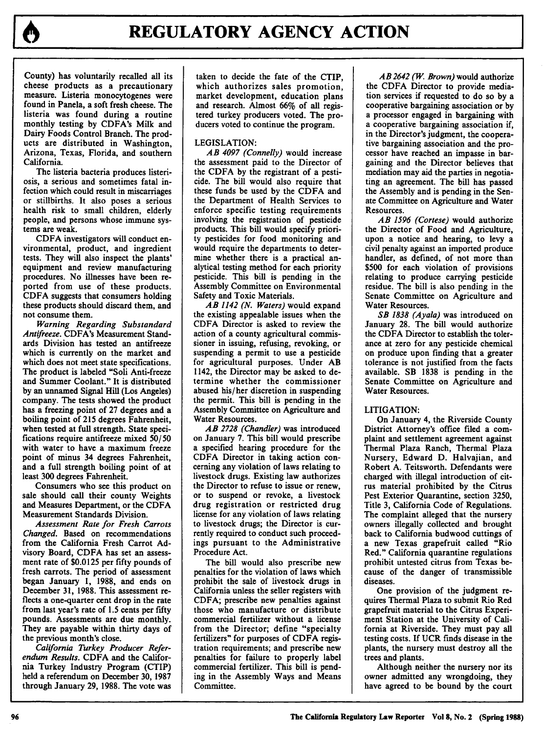County) has voluntarily recalled all its cheese products as a precautionary measure. Listeria monocytogenes were found in Panela, a soft fresh cheese. The listeria was found during a routine monthly testing **by** CDFA's **Milk** and Dairy Foods Control Branch. The products are distributed in Washington, Arizona, Texas, Florida, and southern California.

The listeria bacteria produces listeriosis, a serious and sometimes fatal infection which could result in miscarriages or stillbirths. It also poses a serious health risk to small children, elderly people, and persons whose immune systems are weak.

**CDFA** investigators will conduct environmental, product, and ingredient tests. They will also inspect the plants' equipment and review manufacturing procedures. No illnesses have been reported from use of these products. **CDFA** suggests that consumers holding these products should discard them, and not consume them.

*Warning Regarding Substandard Antifreeze.* CDFA's Measurement Standards Division has tested an antifreeze which is currently on the market and which does not meet state specifications. The product is labeled "Soli Anti-freeze and Summer Coolant." It is distributed **by** an unnamed Signal Hill (Los Angeles) company. The tests showed the product has a freezing point of **27** degrees and a boiling point of **215** degrees Fahrenheit, when tested at full strength. State specifications require antifreeze mixed **50/50** with water to have a maximum freeze point of minus 34 degrees Fahrenheit, and a full strength boiling point of at least **300** degrees Fahrenheit.

Consumers who see this product on sale should call their county Weights and Measures Department, or the **CDFA** Measurement Standards Division.

*Assessment Rate for Fresh Carrots Changed.* Based on recommendations from the California Fresh Carrot **Ad**visory Board, **CDFA** has set an assessment rate of **\$0.0125** per fifty pounds of fresh carrots. The period of assessment began January **1, 1988,** and ends on December **31, 1988.** This assessment reflects a one-quarter cent drop in the rate from last year's rate of **1.5** cents per fifty pounds. Assessments are due monthly. They are payable within thirty days of the previous month's close.

*California Turkey Producer Referendum Results.* **CDFA** and the California Turkey Industry Program (CTIP) held a referendum on December **30, 1987** through January **29, 1988.** The vote was

taken to decide the fate of the CTIP, which authorizes sales promotion, market development, education plans and research. Almost **66%** of all registered turkey producers voted. The producers voted to continue the program.

## LEGISLATION:

*AB 4097 (Connelly)* would increase the assessment paid to the Director of the **CDFA by** the registrant of a pesticide. The bill would also require that these funds be used **by** the **CDFA** and the Department of Health Services to enforce specific testing requirements involving the registration of pesticide products. This bill would specify priority pesticides for food monitoring and would require the departments to determine whether there is a practical analytical testing method for each priority pesticide. This bill is pending in the Assembly Committee on Environmental Safety and Toxic Materials.

*AB 1142 (N. Waters)* would expand the existing appealable issues when the **CDFA** Director is asked to review the action of a county agricultural commissioner in issuing, refusing, revoking, or suspending a permit to use a pesticide for agricultural purposes. Under AB 1142, the Director may be asked to determine whether the commissioner abused his/her discretion in suspending the permit. This bill is pending in the Assembly Committee on Agriculture and Water Resources.

*AB 2728 (Chandler)* was introduced on January **7.** This bill would prescribe a specified hearing procedure for the **CDFA** Director in taking action concerning any violation of laws relating to livestock drugs. Existing law authorizes the Director to refuse to issue or renew, or to suspend or revoke, a livestock drug registration or restricted drug license for any violation of laws relating to livestock drugs; the Director is currently required to conduct such proceedings pursuant to the Administrative Procedure Act.

The bill would also prescribe new penalties for the violation of laws which prohibit the sale of livestock drugs in California unless the seller registers with **CDFA;** prescribe new penalties against those who manufacture or distribute commercial fertilizer without a license from the Director; define "specialty fertilizers" for purposes of **CDFA** registration requirements; and prescribe new penalties for failure to properly label commercial fertilizer. This bill is pending in the Assembly Ways and Means Committee.

*AB 2642 (W. Brown)* would authorize the **CDFA** Director to provide mediation services if requested to do so **by** a cooperative bargaining association or **by** a processor engaged in bargaining with a cooperative bargaining association if, in the Director's judgment, the cooperative bargaining association and the processor have reached an impasse in bargaining and the Director believes that mediation may aid the parties in negotiating an agreement. The bill has passed the Assembly and is pending in the Senate Committee on Agriculture and Water Resources.

*AB 1596 (Cortese)* would authorize the Director of Food and Agriculture, upon a notice and hearing, to levy a civil penalty against an imported produce handler, as defined, of not more than **\$500** for each violation of provisions relating to produce carrying pesticide residue. The bill is also pending in the Senate Committee on Agriculture and Water Resources.

*SB 1838 (Ayala)* was introduced on January **28.** The bill would authorize the **CDFA** Director to establish the tolerance at zero for any pesticide chemical on produce upon finding that a greater tolerance is not justified from the facts available. SB **1838** is pending in the Senate Committee on Agriculture and Water Resources.

## LITIGATION:

On January 4, the Riverside County District Attorney's office filed a complaint and settlement agreement against Thermal Plaza Ranch, Thermal Plaza Nursery, Edward **D.** Halvajian, and Robert **A.** Teitsworth. Defendants were charged with illegal introduction of citrus material prohibited **by** the Citrus Pest Exterior Quarantine, section **3250,** Title **3,** California Code of Regulations. The complaint alleged that the nursery owners illegally collected and brought back to California budwood cuttings of a new Texas grapefruit called "Rio Red." California quarantine regulations prohibit untested citrus from Texas because of the danger of transmissible diseases.

One provision of the judgment requires Thermal Plaza to submit Rio Red grapefruit material to the Citrus Experiment Station at the University of California at Riverside. They must pay all testing costs. **If UCR** finds disease in the plants, the nursery must destroy all the trees and plants.

Although neither the nursery nor its owner admitted any wrongdoing, they have agreed to be bound **by** the court